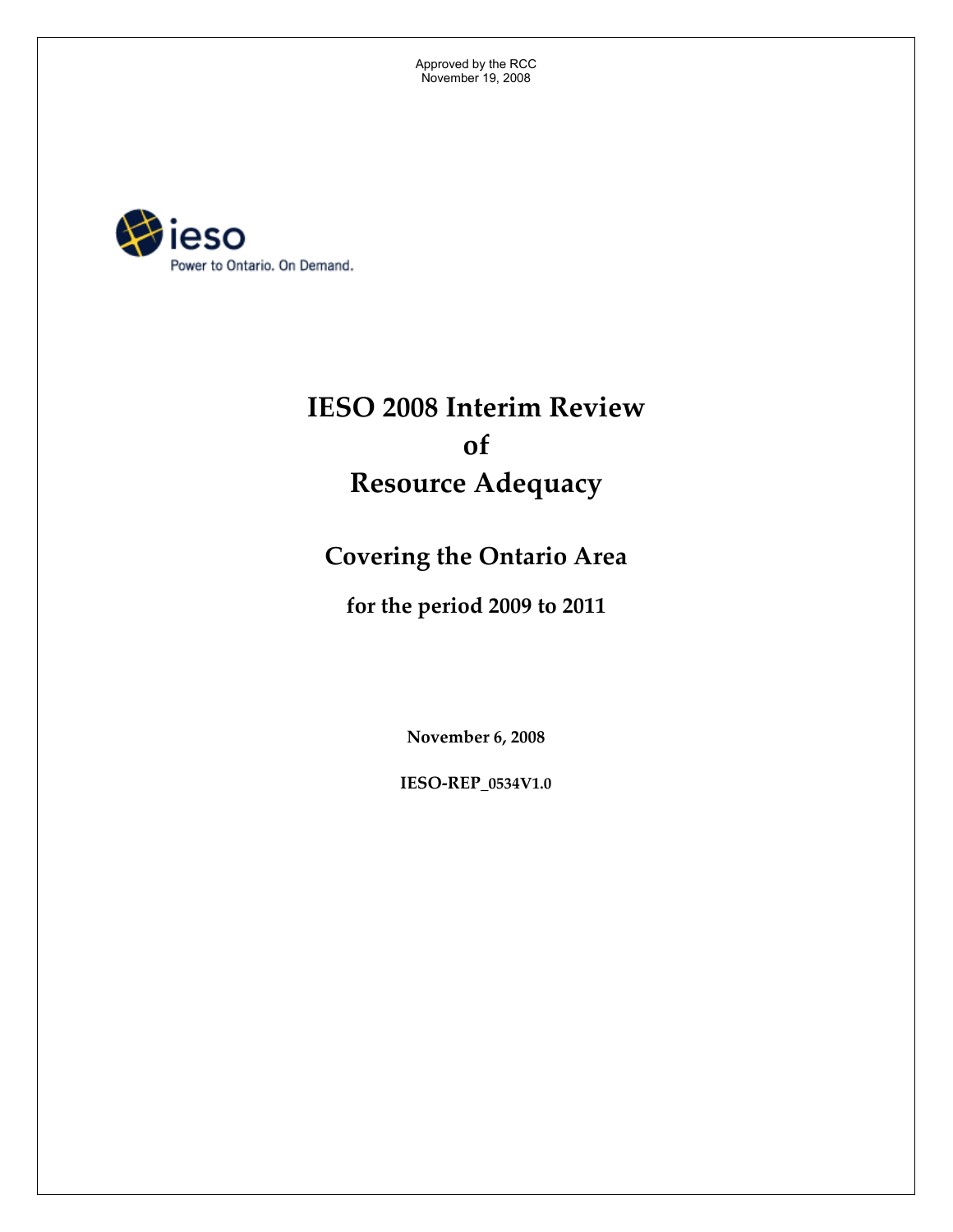Approved by the RCC November 19, 2008



# **IESO 2008 Interim Review of Resource Adequacy**

# **Covering the Ontario Area**

**for the period 2009 to 2011**

**November 6, 2008**

**IESO‐REP\_0534V1.0**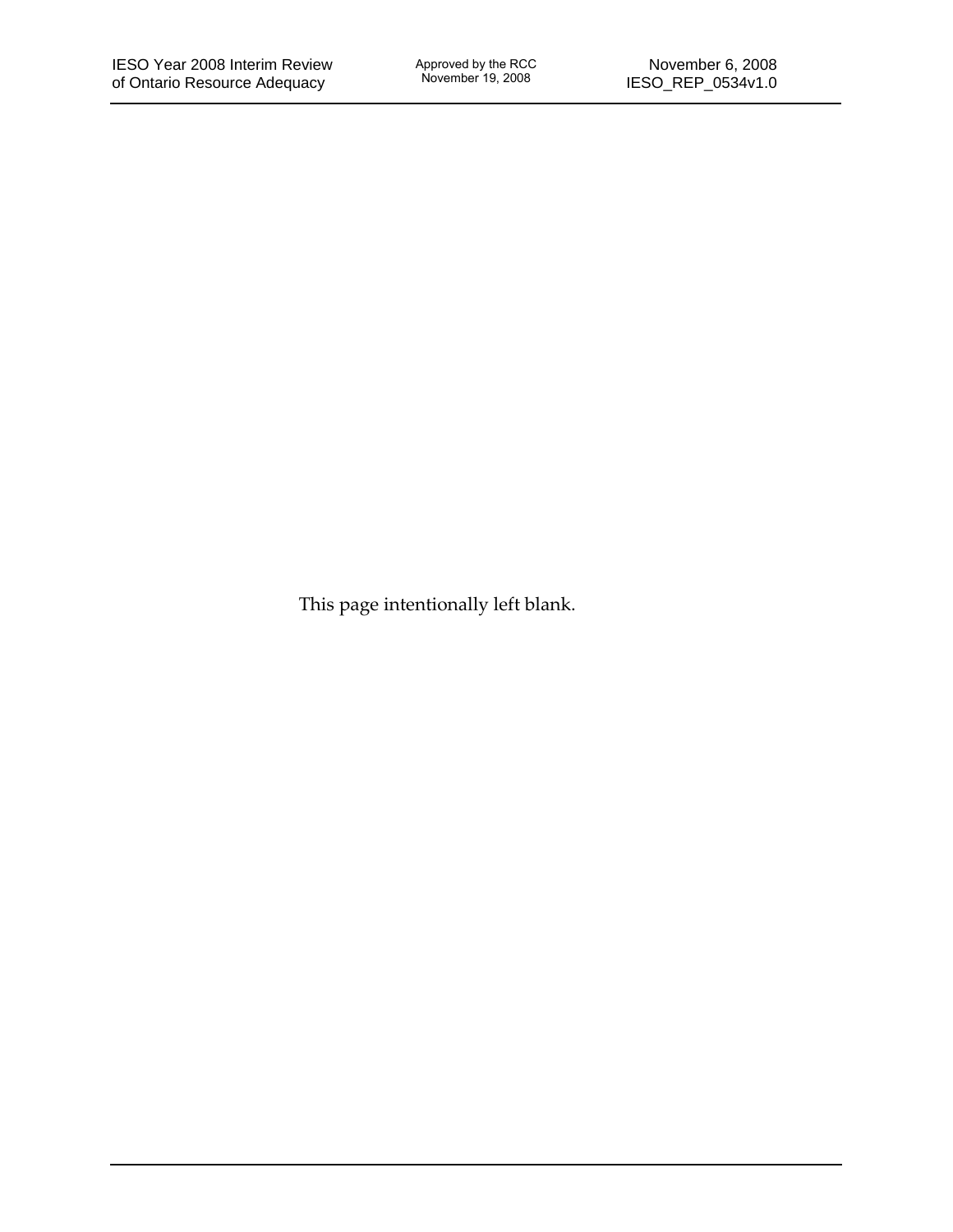This page intentionally left blank.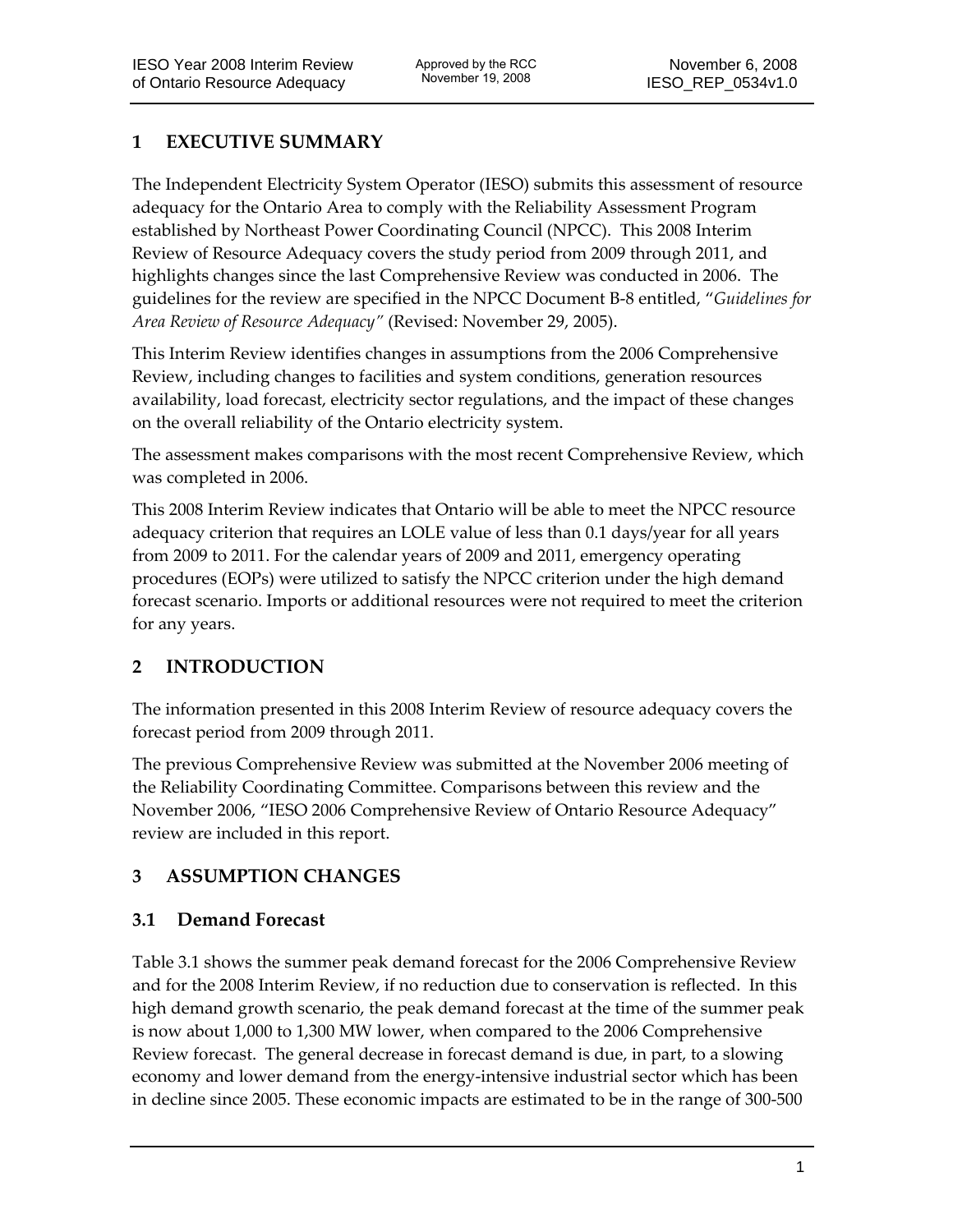## **1 EXECUTIVE SUMMARY**

The Independent Electricity System Operator (IESO) submits this assessment of resource adequacy for the Ontario Area to comply with the Reliability Assessment Program established by Northeast Power Coordinating Council (NPCC). This 2008 Interim Review of Resource Adequacy covers the study period from 2009 through 2011, and highlights changes since the last Comprehensive Review was conducted in 2006. The guidelines for the review are specified in the NPCC Document B‐8 entitled, "*Guidelines for Area Review of Resource Adequacy"* (Revised: November 29, 2005).

This Interim Review identifies changes in assumptions from the 2006 Comprehensive Review, including changes to facilities and system conditions, generation resources availability, load forecast, electricity sector regulations, and the impact of these changes on the overall reliability of the Ontario electricity system.

The assessment makes comparisons with the most recent Comprehensive Review, which was completed in 2006.

This 2008 Interim Review indicates that Ontario will be able to meet the NPCC resource adequacy criterion that requires an LOLE value of less than 0.1 days/year for all years from 2009 to 2011. For the calendar years of 2009 and 2011, emergency operating procedures (EOPs) were utilized to satisfy the NPCC criterion under the high demand forecast scenario. Imports or additional resources were not required to meet the criterion for any years.

# **2 INTRODUCTION**

The information presented in this 2008 Interim Review of resource adequacy covers the forecast period from 2009 through 2011.

The previous Comprehensive Review was submitted at the November 2006 meeting of the Reliability Coordinating Committee. Comparisons between this review and the November 2006, "IESO 2006 Comprehensive Review of Ontario Resource Adequacy" review are included in this report.

# **3 ASSUMPTION CHANGES**

#### **3.1 Demand Forecast**

I

Table 3.1 shows the summer peak demand forecast for the 2006 Comprehensive Review and for the 2008 Interim Review, if no reduction due to conservation is reflected. In this high demand growth scenario, the peak demand forecast at the time of the summer peak is now about 1,000 to 1,300 MW lower, when compared to the 2006 Comprehensive Review forecast. The general decrease in forecast demand is due, in part, to a slowing economy and lower demand from the energy-intensive industrial sector which has been in decline since 2005. These economic impacts are estimated to be in the range of 300‐500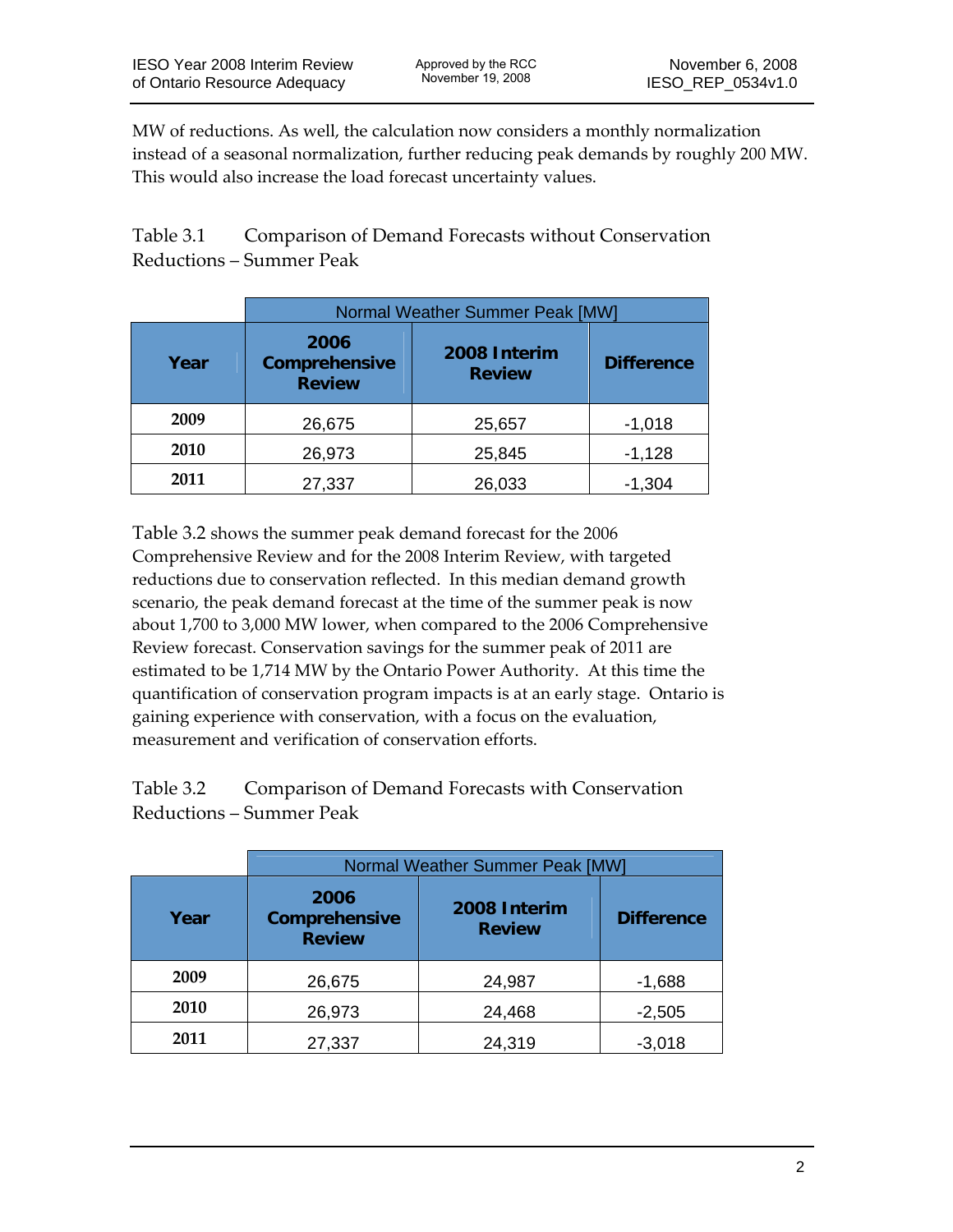I

Approved by the RCC November 19, 2008

MW of reductions. As well, the calculation now considers a monthly normalization instead of a seasonal normalization, further reducing peak demands by roughly 200 MW. This would also increase the load forecast uncertainty values.

| Table 3.1 Comparison of Demand Forecasts without Conservation |
|---------------------------------------------------------------|
| Reductions – Summer Peak                                      |

|      | <b>Normal Weather Summer Peak [MW]</b>                                  |        |                   |  |
|------|-------------------------------------------------------------------------|--------|-------------------|--|
| Year | 2006<br>2008 Interim<br>Comprehensive<br><b>Review</b><br><b>Review</b> |        | <b>Difference</b> |  |
| 2009 | 26,675                                                                  | 25,657 | $-1,018$          |  |
| 2010 | 26,973                                                                  | 25,845 | $-1,128$          |  |
| 2011 | 27,337                                                                  | 26,033 | $-1,304$          |  |

Table 3.2 shows the summer peak demand forecast for the 2006 Comprehensive Review and for the 2008 Interim Review, with targeted reductions due to conservation reflected. In this median demand growth scenario, the peak demand forecast at the time of the summer peak is now about 1,700 to 3,000 MW lower, when compared to the 2006 Comprehensive Review forecast. Conservation savings for the summer peak of 2011 are estimated to be 1,714 MW by the Ontario Power Authority. At this time the quantification of conservation program impacts is at an early stage. Ontario is gaining experience with conservation, with a focus on the evaluation, measurement and verification of conservation efforts.

| Table 3.2 Comparison of Demand Forecasts with Conservation |
|------------------------------------------------------------|
| Reductions – Summer Peak                                   |

|      | <b>Normal Weather Summer Peak [MW]</b>                                  |        |                   |  |
|------|-------------------------------------------------------------------------|--------|-------------------|--|
| Year | 2006<br>2008 Interim<br>Comprehensive<br><b>Review</b><br><b>Review</b> |        | <b>Difference</b> |  |
| 2009 | 26,675                                                                  | 24,987 | $-1,688$          |  |
| 2010 | 26,973                                                                  | 24,468 | $-2,505$          |  |
| 2011 | 27,337                                                                  | 24,319 | $-3,018$          |  |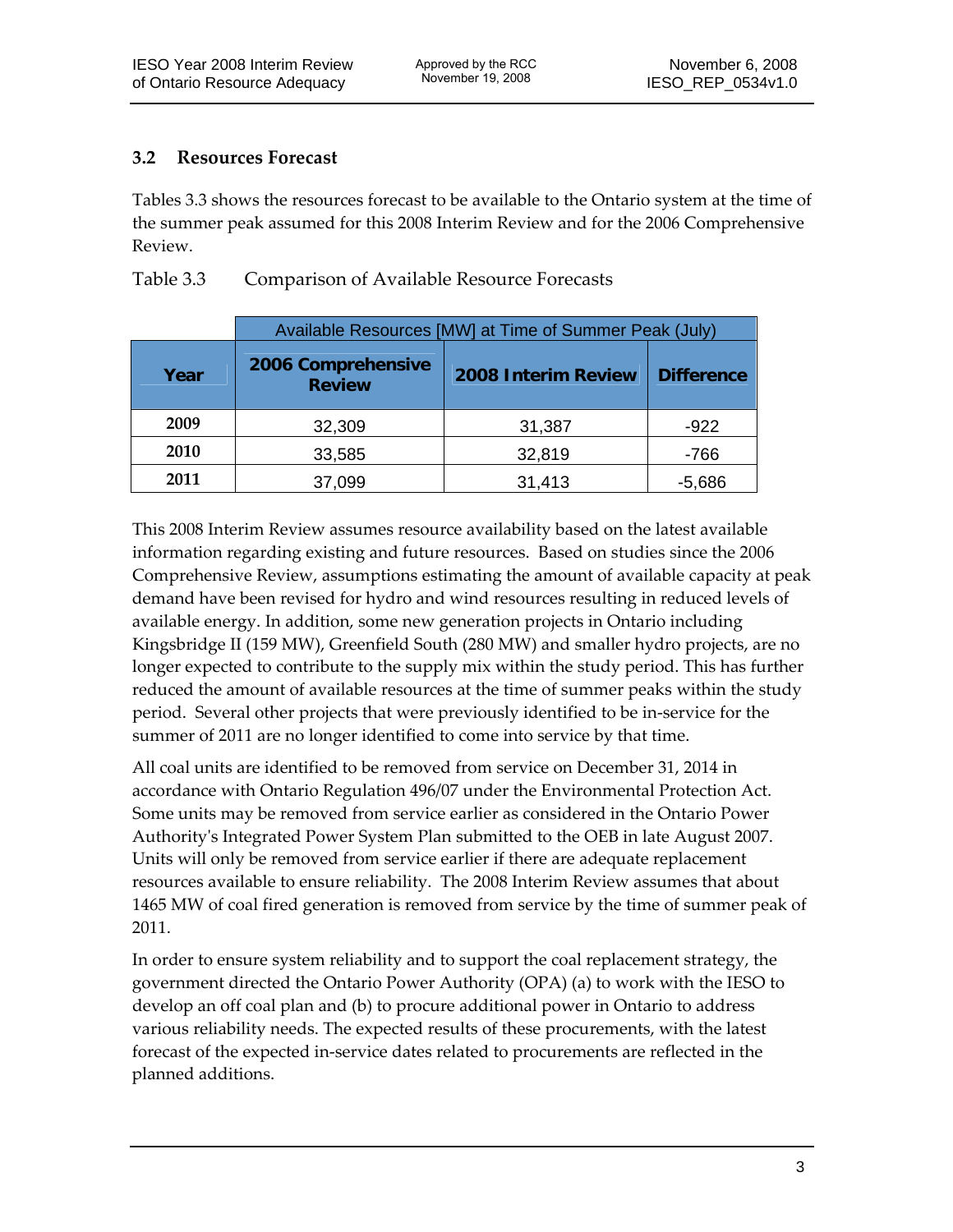#### **3.2 Resources Forecast**

I

Tables 3.3 shows the resources forecast to be available to the Ontario system at the time of the summer peak assumed for this 2008 Interim Review and for the 2006 Comprehensive Review.

|      | Available Resources [MW] at Time of Summer Peak (July) |                     |                   |  |
|------|--------------------------------------------------------|---------------------|-------------------|--|
| Year | 2006 Comprehensive<br><b>Review</b>                    | 2008 Interim Review | <b>Difference</b> |  |
| 2009 | 32,309                                                 | 31,387              | $-922$            |  |
| 2010 | 33,585                                                 | 32,819              | $-766$            |  |
| 2011 | 37,099                                                 | 31,413              | $-5,686$          |  |

#### Table 3.3 Comparison of Available Resource Forecasts

This 2008 Interim Review assumes resource availability based on the latest available information regarding existing and future resources. Based on studies since the 2006 Comprehensive Review, assumptions estimating the amount of available capacity at peak demand have been revised for hydro and wind resources resulting in reduced levels of available energy. In addition, some new generation projects in Ontario including Kingsbridge II (159 MW), Greenfield South (280 MW) and smaller hydro projects, are no longer expected to contribute to the supply mix within the study period. This has further reduced the amount of available resources at the time of summer peaks within the study period. Several other projects that were previously identified to be in‐service for the summer of 2011 are no longer identified to come into service by that time.

All coal units are identified to be removed from service on December 31, 2014 in accordance with Ontario Regulation 496/07 under the Environmental Protection Act. Some units may be removed from service earlier as considered in the Ontario Power Authorityʹs Integrated Power System Plan submitted to the OEB in late August 2007. Units will only be removed from service earlier if there are adequate replacement resources available to ensure reliability. The 2008 Interim Review assumes that about 1465 MW of coal fired generation is removed from service by the time of summer peak of 2011.

In order to ensure system reliability and to support the coal replacement strategy, the government directed the Ontario Power Authority (OPA) (a) to work with the IESO to develop an off coal plan and (b) to procure additional power in Ontario to address various reliability needs. The expected results of these procurements, with the latest forecast of the expected in‐service dates related to procurements are reflected in the planned additions.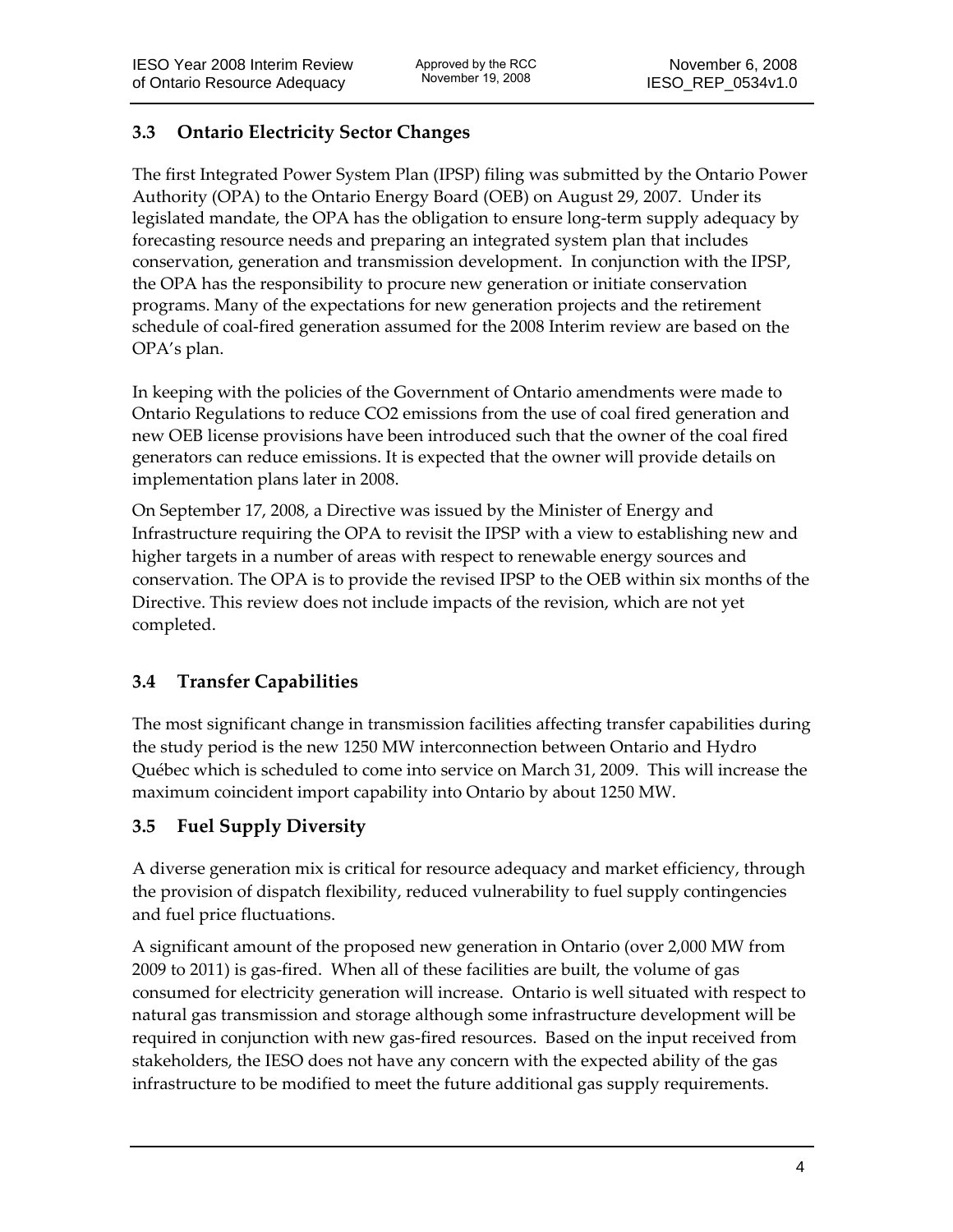# **3.3 Ontario Electricity Sector Changes**

The first Integrated Power System Plan (IPSP) filing was submitted by the Ontario Power Authority (OPA) to the Ontario Energy Board (OEB) on August 29, 2007. Under its legislated mandate, the OPA has the obligation to ensure long‐term supply adequacy by forecasting resource needs and preparing an integrated system plan that includes conservation, generation and transmission development. In conjunction with the IPSP, the OPA has the responsibility to procure new generation or initiate conservation programs. Many of the expectations for new generation projects and the retirement schedule of coal‐fired generation assumed for the 2008 Interim review are based on the OPA's plan.

In keeping with the policies of the Government of Ontario amendments were made to Ontario Regulations to reduce CO2 emissions from the use of coal fired generation and new OEB license provisions have been introduced such that the owner of the coal fired generators can reduce emissions. It is expected that the owner will provide details on implementation plans later in 2008.

On September 17, 2008, a Directive was issued by the Minister of Energy and Infrastructure requiring the OPA to revisit the IPSP with a view to establishing new and higher targets in a number of areas with respect to renewable energy sources and conservation. The OPA is to provide the revised IPSP to the OEB within six months of the Directive. This review does not include impacts of the revision, which are not yet completed.

# **3.4 Transfer Capabilities**

The most significant change in transmission facilities affecting transfer capabilities during the study period is the new 1250 MW interconnection between Ontario and Hydro Québec which is scheduled to come into service on March 31, 2009. This will increase the maximum coincident import capability into Ontario by about 1250 MW.

# **3.5 Fuel Supply Diversity**

I

A diverse generation mix is critical for resource adequacy and market efficiency, through the provision of dispatch flexibility, reduced vulnerability to fuel supply contingencies and fuel price fluctuations.

A significant amount of the proposed new generation in Ontario (over 2,000 MW from 2009 to 2011) is gas‐fired. When all of these facilities are built, the volume of gas consumed for electricity generation will increase. Ontario is well situated with respect to natural gas transmission and storage although some infrastructure development will be required in conjunction with new gas‐fired resources. Based on the input received from stakeholders, the IESO does not have any concern with the expected ability of the gas infrastructure to be modified to meet the future additional gas supply requirements.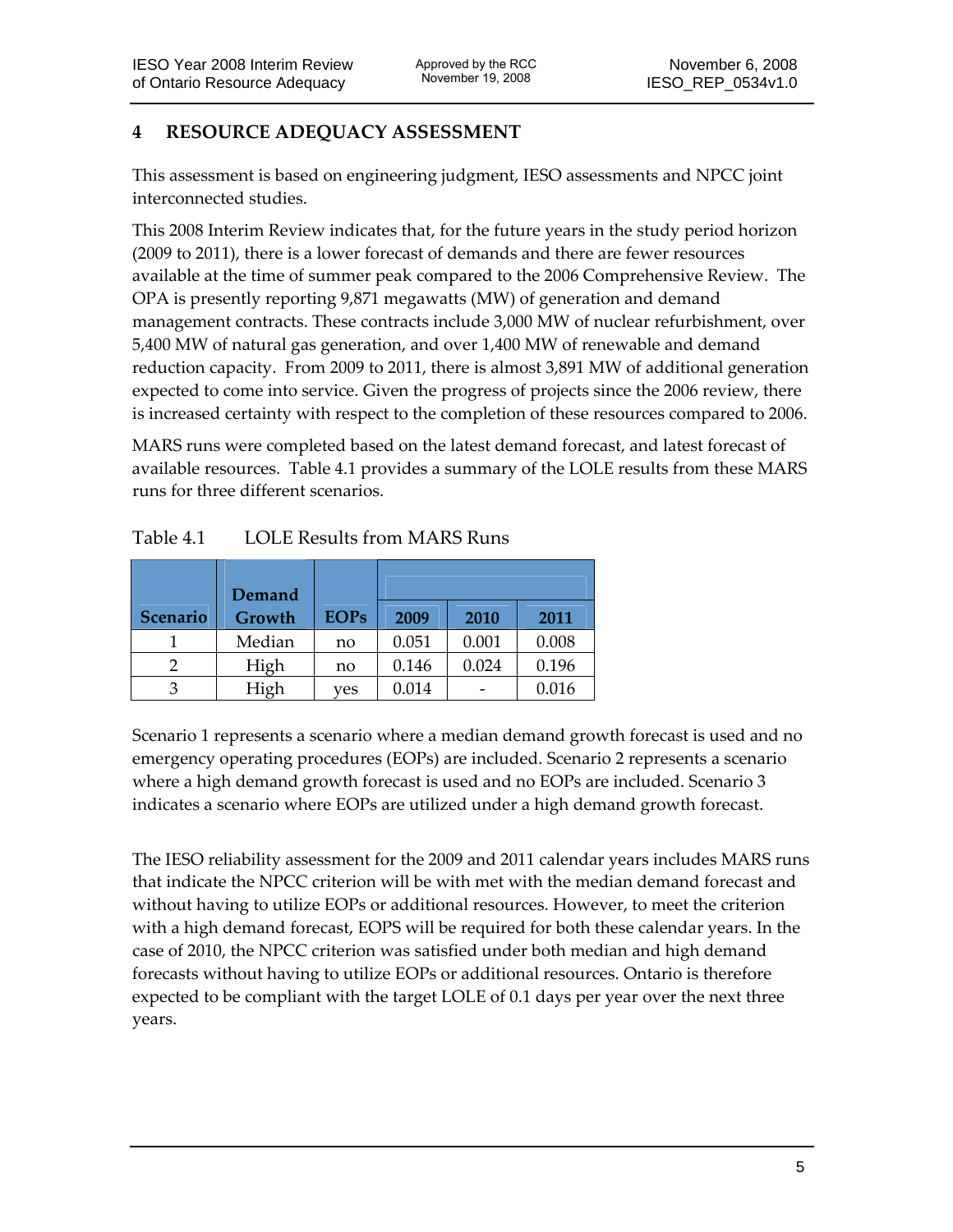## **4 RESOURCE ADEQUACY ASSESSMENT**

This assessment is based on engineering judgment, IESO assessments and NPCC joint interconnected studies.

This 2008 Interim Review indicates that, for the future years in the study period horizon (2009 to 2011), there is a lower forecast of demands and there are fewer resources available at the time of summer peak compared to the 2006 Comprehensive Review. The OPA is presently reporting 9,871 megawatts (MW) of generation and demand management contracts. These contracts include 3,000 MW of nuclear refurbishment, over 5,400 MW of natural gas generation, and over 1,400 MW of renewable and demand reduction capacity. From 2009 to 2011, there is almost 3,891 MW of additional generation expected to come into service. Given the progress of projects since the 2006 review, there is increased certainty with respect to the completion of these resources compared to 2006.

MARS runs were completed based on the latest demand forecast, and latest forecast of available resources. Table 4.1 provides a summary of the LOLE results from these MARS runs for three different scenarios.

|                 | Demand |             |       |       |       |
|-----------------|--------|-------------|-------|-------|-------|
| <b>Scenario</b> | Growth | <b>EOPs</b> | 2009  | 2010  | 2011  |
|                 | Median | no          | 0.051 | 0.001 | 0.008 |
|                 | High   | no          | 0.146 | 0.024 | 0.196 |
| 3               | High   | ves         | 0.014 |       | 0.016 |

| Table 4.1 | <b>LOLE Results from MARS Runs</b> |  |
|-----------|------------------------------------|--|
|           |                                    |  |

I

Scenario 1 represents a scenario where a median demand growth forecast is used and no emergency operating procedures (EOPs) are included. Scenario 2 represents a scenario where a high demand growth forecast is used and no EOPs are included. Scenario 3 indicates a scenario where EOPs are utilized under a high demand growth forecast.

The IESO reliability assessment for the 2009 and 2011 calendar years includes MARS runs that indicate the NPCC criterion will be with met with the median demand forecast and without having to utilize EOPs or additional resources. However, to meet the criterion with a high demand forecast, EOPS will be required for both these calendar years. In the case of 2010, the NPCC criterion was satisfied under both median and high demand forecasts without having to utilize EOPs or additional resources. Ontario is therefore expected to be compliant with the target LOLE of 0.1 days per year over the next three years.